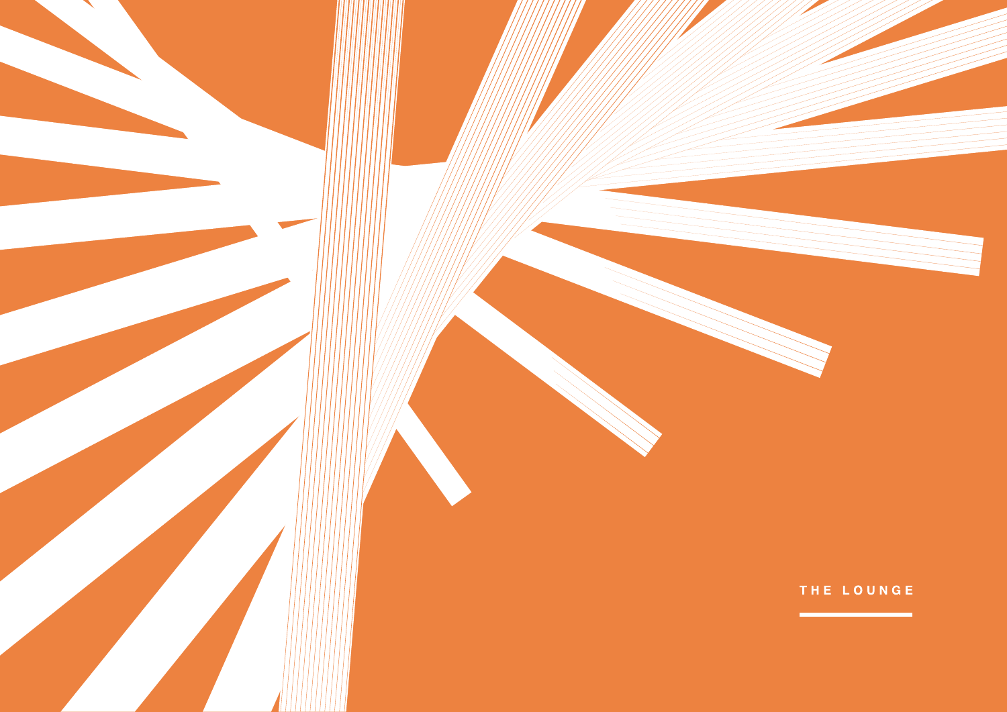